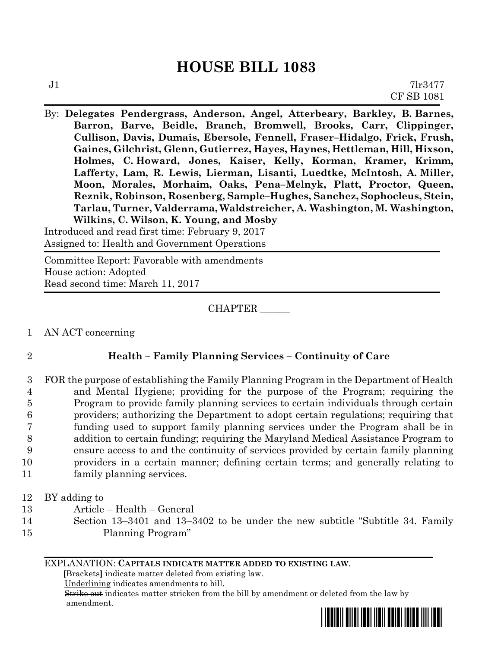# **HOUSE BILL 1083**

By: **Delegates Pendergrass, Anderson, Angel, Atterbeary, Barkley, B. Barnes, Barron, Barve, Beidle, Branch, Bromwell, Brooks, Carr, Clippinger, Cullison, Davis, Dumais, Ebersole, Fennell, Fraser–Hidalgo, Frick, Frush, Gaines, Gilchrist, Glenn, Gutierrez, Hayes, Haynes, Hettleman, Hill, Hixson, Holmes, C. Howard, Jones, Kaiser, Kelly, Korman, Kramer, Krimm, Lafferty, Lam, R. Lewis, Lierman, Lisanti, Luedtke, McIntosh, A. Miller, Moon, Morales, Morhaim, Oaks, Pena–Melnyk, Platt, Proctor, Queen, Reznik, Robinson, Rosenberg, Sample–Hughes, Sanchez, Sophocleus, Stein, Tarlau, Turner, Valderrama, Waldstreicher, A. Washington, M. Washington, Wilkins, C. Wilson, K. Young, and Mosby**

Introduced and read first time: February 9, 2017 Assigned to: Health and Government Operations

Committee Report: Favorable with amendments House action: Adopted Read second time: March 11, 2017

CHAPTER \_\_\_\_\_\_

1 AN ACT concerning

# 2 **Health – Family Planning Services – Continuity of Care**

- 3 FOR the purpose of establishing the Family Planning Program in the Department of Health 4 and Mental Hygiene; providing for the purpose of the Program; requiring the 5 Program to provide family planning services to certain individuals through certain 6 providers; authorizing the Department to adopt certain regulations; requiring that 7 funding used to support family planning services under the Program shall be in 8 addition to certain funding; requiring the Maryland Medical Assistance Program to 9 ensure access to and the continuity of services provided by certain family planning 10 providers in a certain manner; defining certain terms; and generally relating to 11 family planning services.
- 12 BY adding to
- 13 Article Health General
- 14 Section 13–3401 and 13–3402 to be under the new subtitle "Subtitle 34. Family 15 Planning Program"

## EXPLANATION: **CAPITALS INDICATE MATTER ADDED TO EXISTING LAW**.

 **[**Brackets**]** indicate matter deleted from existing law.

Underlining indicates amendments to bill.

 Strike out indicates matter stricken from the bill by amendment or deleted from the law by amendment.

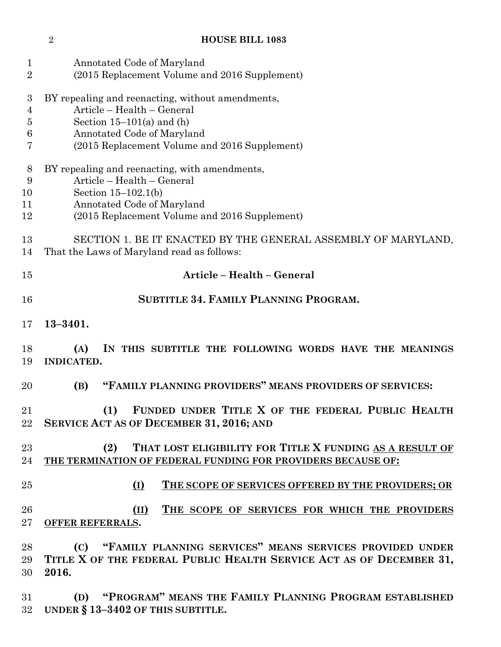Annotated Code of Maryland (2015 Replacement Volume and 2016 Supplement) BY repealing and reenacting, without amendments, Article – Health – General Section 15–101(a) and (h) Annotated Code of Maryland (2015 Replacement Volume and 2016 Supplement) BY repealing and reenacting, with amendments, Article – Health – General Section 15–102.1(b) Annotated Code of Maryland (2015 Replacement Volume and 2016 Supplement) SECTION 1. BE IT ENACTED BY THE GENERAL ASSEMBLY OF MARYLAND, That the Laws of Maryland read as follows: **Article – Health – General SUBTITLE 34. FAMILY PLANNING PROGRAM. 13–3401. (A) IN THIS SUBTITLE THE FOLLOWING WORDS HAVE THE MEANINGS INDICATED. (B) "FAMILY PLANNING PROVIDERS" MEANS PROVIDERS OF SERVICES: (1) FUNDED UNDER TITLE X OF THE FEDERAL PUBLIC HEALTH SERVICE ACT AS OF DECEMBER 31, 2016; AND (2) THAT LOST ELIGIBILITY FOR TITLE X FUNDING AS A RESULT OF THE TERMINATION OF FEDERAL FUNDING FOR PROVIDERS BECAUSE OF: (I) THE SCOPE OF SERVICES OFFERED BY THE PROVIDERS; OR (II) THE SCOPE OF SERVICES FOR WHICH THE PROVIDERS OFFER REFERRALS. (C) "FAMILY PLANNING SERVICES" MEANS SERVICES PROVIDED UNDER TITLE X OF THE FEDERAL PUBLIC HEALTH SERVICE ACT AS OF DECEMBER 31, 2016. (D) "PROGRAM" MEANS THE FAMILY PLANNING PROGRAM ESTABLISHED** 

**HOUSE BILL 1083**

**UNDER § 13–3402 OF THIS SUBTITLE.**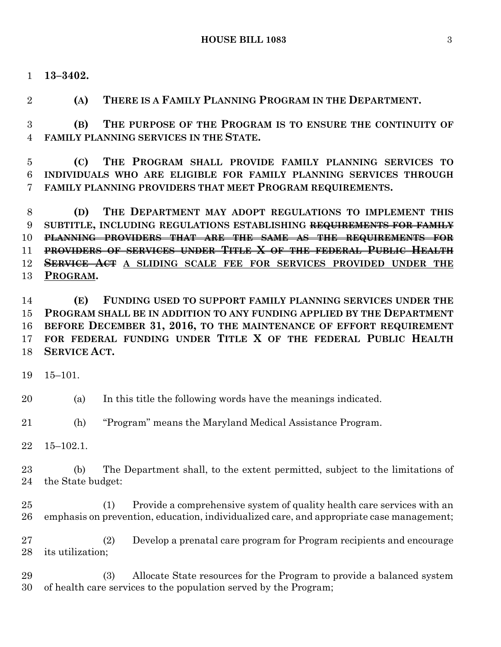**13–3402.**

**(A) THERE IS A FAMILY PLANNING PROGRAM IN THE DEPARTMENT.**

 **(B) THE PURPOSE OF THE PROGRAM IS TO ENSURE THE CONTINUITY OF FAMILY PLANNING SERVICES IN THE STATE.**

 **(C) THE PROGRAM SHALL PROVIDE FAMILY PLANNING SERVICES TO INDIVIDUALS WHO ARE ELIGIBLE FOR FAMILY PLANNING SERVICES THROUGH FAMILY PLANNING PROVIDERS THAT MEET PROGRAM REQUIREMENTS.**

 **(D) THE DEPARTMENT MAY ADOPT REGULATIONS TO IMPLEMENT THIS SUBTITLE, INCLUDING REGULATIONS ESTABLISHING REQUIREMENTS FOR FAMILY PLANNING PROVIDERS THAT ARE THE SAME AS THE REQUIREMENTS FOR PROVIDERS OF SERVICES UNDER TITLE X OF THE FEDERAL PUBLIC HEALTH SERVICE ACT A SLIDING SCALE FEE FOR SERVICES PROVIDED UNDER THE PROGRAM.**

 **(E) FUNDING USED TO SUPPORT FAMILY PLANNING SERVICES UNDER THE PROGRAM SHALL BE IN ADDITION TO ANY FUNDING APPLIED BY THE DEPARTMENT BEFORE DECEMBER 31, 2016, TO THE MAINTENANCE OF EFFORT REQUIREMENT FOR FEDERAL FUNDING UNDER TITLE X OF THE FEDERAL PUBLIC HEALTH SERVICE ACT.**

15–101.

(a) In this title the following words have the meanings indicated.

(h) "Program" means the Maryland Medical Assistance Program.

15–102.1.

 (b) The Department shall, to the extent permitted, subject to the limitations of the State budget:

 (1) Provide a comprehensive system of quality health care services with an emphasis on prevention, education, individualized care, and appropriate case management;

 (2) Develop a prenatal care program for Program recipients and encourage its utilization;

 (3) Allocate State resources for the Program to provide a balanced system of health care services to the population served by the Program;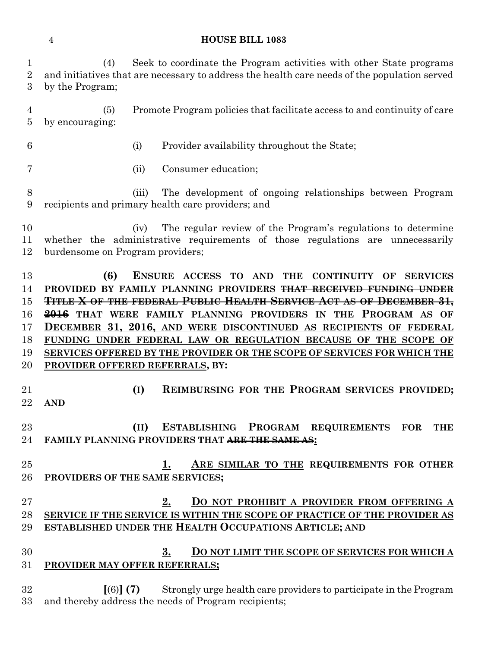## **HOUSE BILL 1083**

 (4) Seek to coordinate the Program activities with other State programs and initiatives that are necessary to address the health care needs of the population served by the Program; (5) Promote Program policies that facilitate access to and continuity of care by encouraging: (i) Provider availability throughout the State; (ii) Consumer education; (iii) The development of ongoing relationships between Program recipients and primary health care providers; and (iv) The regular review of the Program's regulations to determine whether the administrative requirements of those regulations are unnecessarily burdensome on Program providers; **(6) ENSURE ACCESS TO AND THE CONTINUITY OF SERVICES PROVIDED BY FAMILY PLANNING PROVIDERS THAT RECEIVED FUNDING UNDER TITLE X OF THE FEDERAL PUBLIC HEALTH SERVICE ACT AS OF DECEMBER 31, 2016 THAT WERE FAMILY PLANNING PROVIDERS IN THE PROGRAM AS OF DECEMBER 31, 2016, AND WERE DISCONTINUED AS RECIPIENTS OF FEDERAL FUNDING UNDER FEDERAL LAW OR REGULATION BECAUSE OF THE SCOPE OF SERVICES OFFERED BY THE PROVIDER OR THE SCOPE OF SERVICES FOR WHICH THE PROVIDER OFFERED REFERRALS, BY: (I) REIMBURSING FOR THE PROGRAM SERVICES PROVIDED; AND (II) ESTABLISHING PROGRAM REQUIREMENTS FOR THE FAMILY PLANNING PROVIDERS THAT ARE THE SAME AS: 1. ARE SIMILAR TO THE REQUIREMENTS FOR OTHER PROVIDERS OF THE SAME SERVICES; 2. DO NOT PROHIBIT A PROVIDER FROM OFFERING A SERVICE IF THE SERVICE IS WITHIN THE SCOPE OF PRACTICE OF THE PROVIDER AS ESTABLISHED UNDER THE HEALTH OCCUPATIONS ARTICLE; AND 3. DO NOT LIMIT THE SCOPE OF SERVICES FOR WHICH A PROVIDER MAY OFFER REFERRALS; [**(6)**] (7)** Strongly urge health care providers to participate in the Program

and thereby address the needs of Program recipients;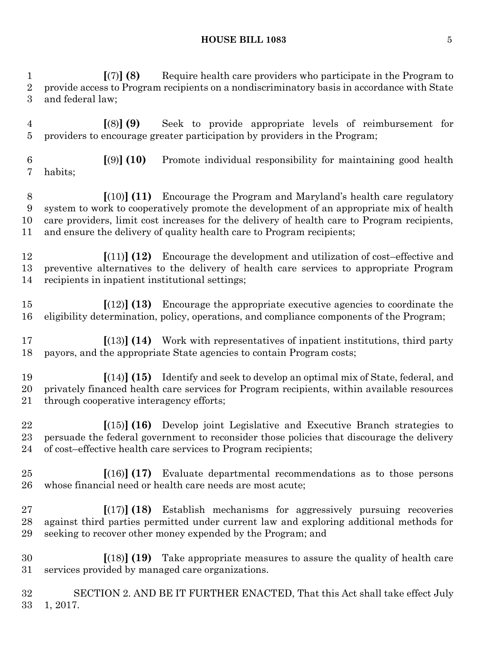**[**(7)**] (8)** Require health care providers who participate in the Program to provide access to Program recipients on a nondiscriminatory basis in accordance with State and federal law;

 **[**(8)**] (9)** Seek to provide appropriate levels of reimbursement for providers to encourage greater participation by providers in the Program;

 **[**(9)**] (10)** Promote individual responsibility for maintaining good health habits;

 **[**(10)**] (11)** Encourage the Program and Maryland's health care regulatory system to work to cooperatively promote the development of an appropriate mix of health care providers, limit cost increases for the delivery of health care to Program recipients, and ensure the delivery of quality health care to Program recipients;

 **[**(11)**] (12)** Encourage the development and utilization of cost–effective and preventive alternatives to the delivery of health care services to appropriate Program recipients in inpatient institutional settings;

 **[**(12)**] (13)** Encourage the appropriate executive agencies to coordinate the eligibility determination, policy, operations, and compliance components of the Program;

 **[**(13)**] (14)** Work with representatives of inpatient institutions, third party payors, and the appropriate State agencies to contain Program costs;

 **[**(14)**] (15)** Identify and seek to develop an optimal mix of State, federal, and privately financed health care services for Program recipients, within available resources through cooperative interagency efforts;

 **[**(15)**] (16)** Develop joint Legislative and Executive Branch strategies to persuade the federal government to reconsider those policies that discourage the delivery of cost–effective health care services to Program recipients;

- **[**(16)**] (17)** Evaluate departmental recommendations as to those persons whose financial need or health care needs are most acute;
- **[**(17)**] (18)** Establish mechanisms for aggressively pursuing recoveries against third parties permitted under current law and exploring additional methods for seeking to recover other money expended by the Program; and
- **[**(18)**] (19)** Take appropriate measures to assure the quality of health care services provided by managed care organizations.

 SECTION 2. AND BE IT FURTHER ENACTED, That this Act shall take effect July 1, 2017.